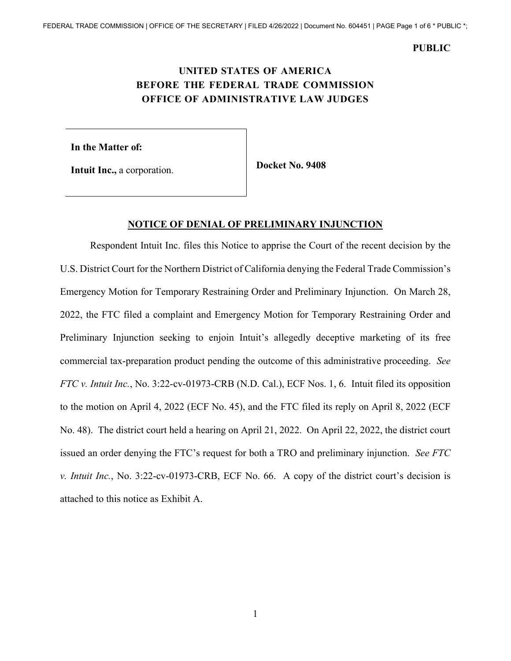# **UNITED STATES OF AMERICA BEFORE THE FEDERAL TRADE COMMISSION OFFICE OF ADMINISTRATIVE LAW JUDGES**

**In the Matter of:** 

**Intuit Inc., a corporation. Docket No. 9408** 

### **NOTICE OF DENIAL OF PRELIMINARY INJUNCTION**

Respondent Intuit Inc. files this Notice to apprise the Court of the recent decision by the U.S. District Court for the Northern District of California denying the Federal Trade Commission's Emergency Motion for Temporary Restraining Order and Preliminary Injunction. On March 28, 2022, the FTC filed a complaint and Emergency Motion for Temporary Restraining Order and Preliminary Injunction seeking to enjoin Intuit's allegedly deceptive marketing of its free commercial tax-preparation product pending the outcome of this administrative proceeding. *See FTC v. Intuit Inc.*, No. 3:22-cv-01973-CRB (N.D. Cal.), ECF Nos. 1, 6. Intuit filed its opposition to the motion on April 4, 2022 (ECF No. 45), and the FTC filed its reply on April 8, 2022 (ECF No. 48). The district court held a hearing on April 21, 2022. On April 22, 2022, the district court issued an order denying the FTC's request for both a TRO and preliminary injunction. *See FTC v. Intuit Inc.*, No. 3:22-cv-01973-CRB, ECF No. 66. A copy of the district court's decision is attached to this notice as Exhibit A.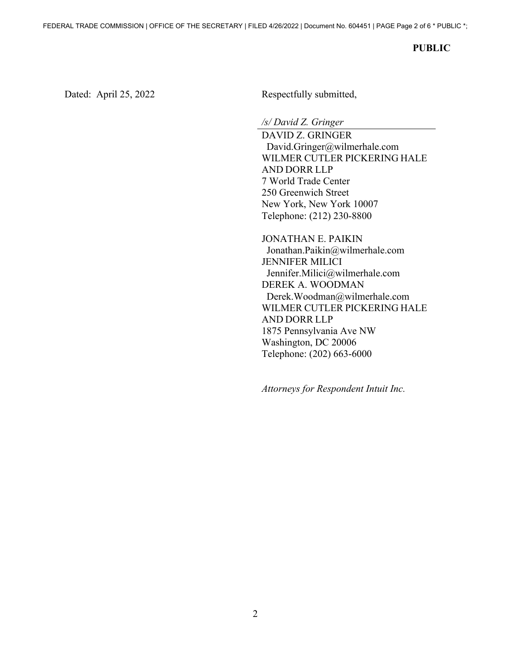Dated: April 25, 2022 Respectfully submitted,

*/s/ David Z. Gringer* 

 WILMER CUTLER PICKERING HALE AND DORR LLP DAVID Z. GRINGER [David.Gringer@wilmerhale.com](mailto:David.Gringer@wilmerhale.com)  7 World Trade Center 250 Greenwich Street New York, New York 10007 Telephone: (212) 230-8800

 WILMER CUTLER PICKERING HALE AND DORR LLP JONATHAN E. PAIKIN [Jonathan.Paikin@wilmerhale.com](mailto:Jonathan.Paikin@wilmerhale.com)  JENNIFER MILICI [Jennifer.Milici@wilmerhale.com](mailto:Jennifer.Milici@wilmerhale.com) DEREK A. WOODMAN [Derek.Woodman@wilmerhale.com](mailto:Derek.Woodman@wilmerhale.com)  1875 Pennsylvania Ave NW Washington, DC 20006 Telephone: (202) 663-6000

*Attorneys for Respondent Intuit Inc.*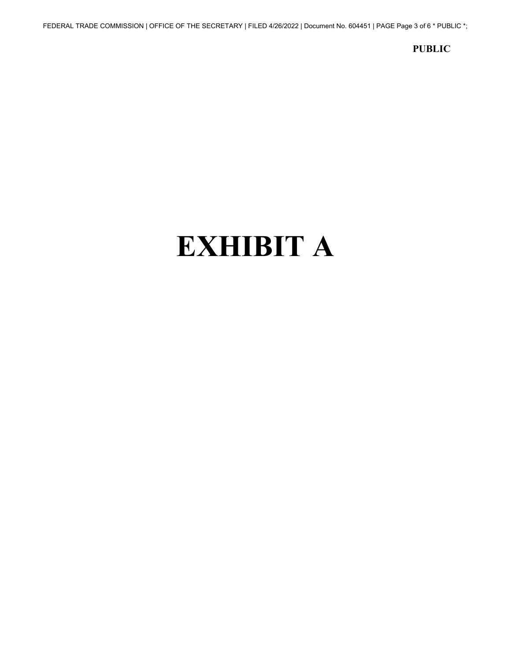# **EXHIBIT A**

**PUBLIC** 

FEDERAL TRADE COMMISSION | OFFICE OF THE SECRETARY | FILED 4/26/2022 | Document No. 604451 | PAGE Page 3 of 6 \* PUBLIC \*;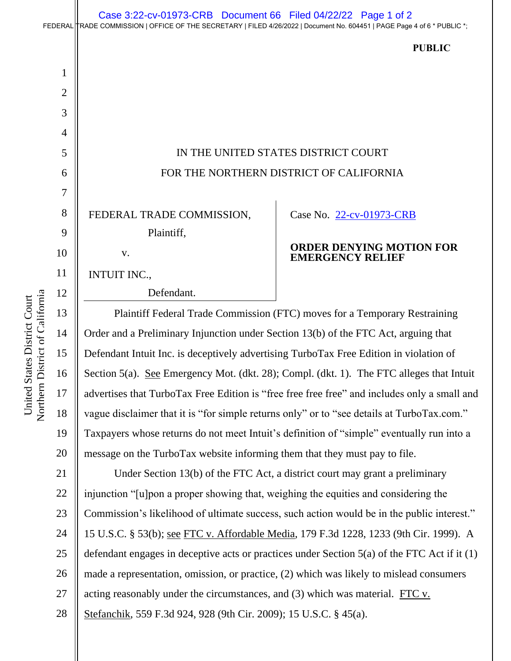### FEDERAL TRADE COMMISSION | OFFICE OF THE SECRETARY | FILED 4/26/2022 | Document No. 604451 | PAGE Page 4 of 6 \* PUBLIC \*; Case 3:22-cv-01973-CRB Document 66 Filed 04/22/22 Page 1 of 2

|                |                                                                                     | <b>PUBLIC</b>                                              |
|----------------|-------------------------------------------------------------------------------------|------------------------------------------------------------|
| $\mathbf 1$    |                                                                                     |                                                            |
| $\overline{2}$ |                                                                                     |                                                            |
| 3              |                                                                                     |                                                            |
| 4              |                                                                                     |                                                            |
| 5              | IN THE UNITED STATES DISTRICT COURT                                                 |                                                            |
| 6              | FOR THE NORTHERN DISTRICT OF CALIFORNIA                                             |                                                            |
| $\overline{7}$ |                                                                                     |                                                            |
| 8              | FEDERAL TRADE COMMISSION,                                                           | Case No. 22-cv-01973-CRB                                   |
| 9              | Plaintiff,                                                                          |                                                            |
| 10             | V.                                                                                  | <b>ORDER DENYING MOTION FOR</b><br><b>EMERGENCY RELIEF</b> |
| 11             | <b>INTUIT INC.,</b>                                                                 |                                                            |
| 12             | Defendant.                                                                          |                                                            |
| 13             | Plaintiff Federal Trade Commission (FTC) moves for a Temporary Restraining          |                                                            |
| 14             | Order and a Preliminary Injunction under Section 13(b) of the FTC Act, arguing that |                                                            |

Northern District of California Northern District of California United States District Court United States District Court

15 16 17 18 19 20 Defendant Intuit Inc. is deceptively advertising TurboTax Free Edition in violation of Section 5(a). See Emergency Mot. (dkt. 28); Compl. (dkt. 1). The FTC alleges that Intuit advertises that TurboTax Free Edition is "free free free free" and includes only a small and vague disclaimer that it is "for simple returns only" or to "see details at [TurboTax.com](https://TurboTax.com)." Taxpayers whose returns do not meet Intuit's definition of "simple" eventually run into a message on the TurboTax website informing them that they must pay to file.

 15 U.S.C. § 53(b); see FTC v. Affordable Media, 179 F.3d 1228, 1233 (9th Cir. 1999). A 21 22 23 24 25 26 27 28 Under Section 13(b) of the FTC Act, a district court may grant a preliminary injunction "[u]pon a proper showing that, weighing the equities and considering the Commission's likelihood of ultimate success, such action would be in the public interest." defendant engages in deceptive acts or practices under Section 5(a) of the FTC Act if it (1) made a representation, omission, or practice, (2) which was likely to mislead consumers acting reasonably under the circumstances, and (3) which was material. FTC v. Stefanchik, 559 F.3d 924, 928 (9th Cir. 2009); 15 U.S.C. § 45(a).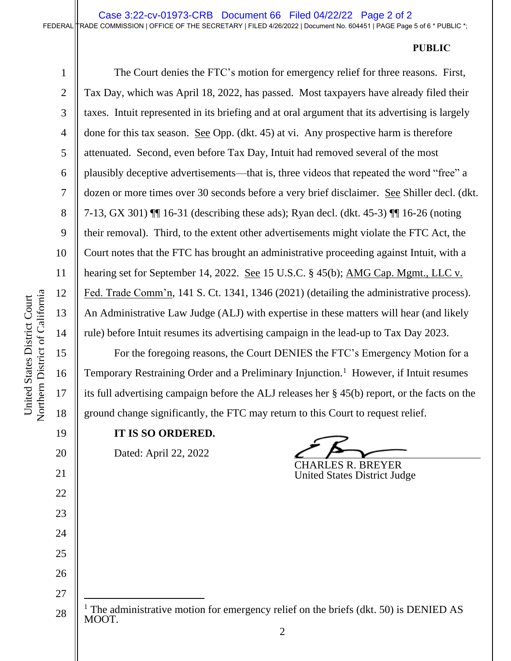done for this tax season. See Opp. (dkt. 45) at vi. Any prospective harm is therefore Fed. Trade Comm'n, 141 S. Ct. 1341, 1346 (2021) (detailing the administrative process).<br>An Administrative Law Judge (ALJ) with expertise in these matters will hear (and likely The Court denies the FTC's motion for emergency relief for three reasons. First, Tax Day, which was April 18, 2022, has passed. Most taxpayers have already filed their taxes. Intuit represented in its briefing and at oral argument that its advertising is largely attenuated. Second, even before Tax Day, Intuit had removed several of the most plausibly deceptive advertisements—that is, three videos that repeated the word "free" a dozen or more times over 30 seconds before a very brief disclaimer. See Shiller decl. (dkt. 7-13, GX 301) ¶¶ 16-31 (describing these ads); Ryan decl. (dkt. 45-3) ¶¶ 16-26 (noting their removal). Third, to the extent other advertisements might violate the FTC Act, the Court notes that the FTC has brought an administrative proceeding against Intuit, with a hearing set for September 14, 2022. <u>See</u> 15 U.S.C. § 45(b); AMG Cap. Mgmt., LLC v. rule) before Intuit resumes its advertising campaign in the lead-up to Tax Day 2023.

Temporary Restraining Order and a Preliminary Injunction.<sup>1</sup> However, if Intuit resumes For the foregoing reasons, the Court DENIES the FTC's Emergency Motion for a its full advertising campaign before the ALJ releases her § 45(b) report, or the facts on the ground change significantly, the FTC may return to this Court to request relief.

**IT IS SO ORDERED.** 

Dated: April 22, 2022

CHARLES R. BREYER United States District Judge

1

2

3

4

5

6

7

8

9

10

11

12

13

14

15

16

17

18

19

20

21

22

23

24

25

26

27

<sup>28</sup> <sup>1</sup> The administrative motion for emergency relief on the briefs (dkt. 50) is DENIED AS MOOT.